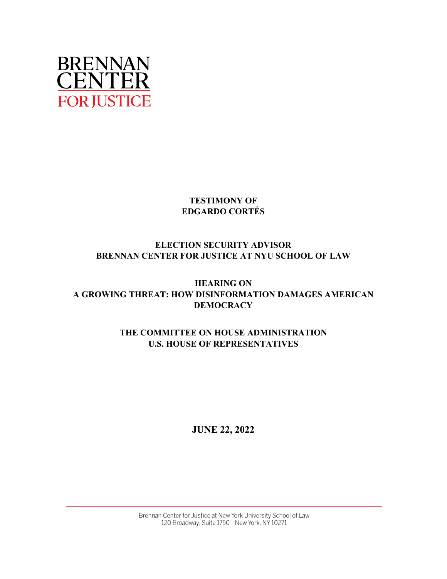

## **TESTIMONY OF EDGARDO CORTÉS**

# **ELECTION SECURITY ADVISOR BRENNAN CENTER FOR JUSTICE AT NYU SCHOOL OF LAW**

# **HEARING ON A GROWING THREAT: HOW DISINFORMATION DAMAGES AMERICAN DEMOCRACY**

# **THE COMMITTEE ON HOUSE ADMINISTRATION U.S. HOUSE OF REPRESENTATIVES**

# **JUNE 22, 2022**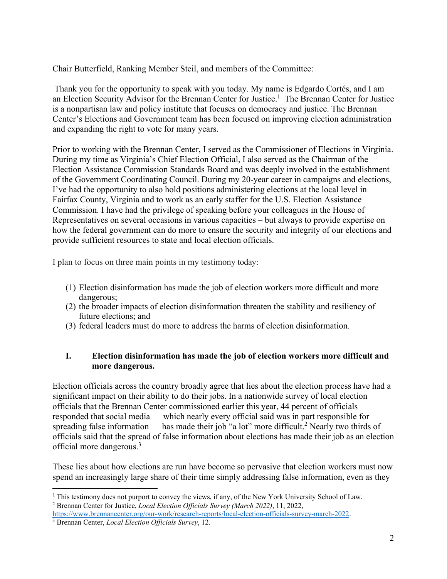Chair Butterfield, Ranking Member Steil, and members of the Committee:

Thank you for the opportunity to speak with you today. My name is Edgardo Cortés, and I am an Election Security Advisor for the Brennan Center for Justice.<sup>1</sup> The Brennan Center for Justice is a nonpartisan law and policy institute that focuses on democracy and justice. The Brennan Center's Elections and Government team has been focused on improving election administration and expanding the right to vote for many years.

Prior to working with the Brennan Center, I served as the Commissioner of Elections in Virginia. During my time as Virginia's Chief Election Official, I also served as the Chairman of the Election Assistance Commission Standards Board and was deeply involved in the establishment of the Government Coordinating Council. During my 20-year career in campaigns and elections, I've had the opportunity to also hold positions administering elections at the local level in Fairfax County, Virginia and to work as an early staffer for the U.S. Election Assistance Commission. I have had the privilege of speaking before your colleagues in the House of Representatives on several occasions in various capacities – but always to provide expertise on how the federal government can do more to ensure the security and integrity of our elections and provide sufficient resources to state and local election officials.

I plan to focus on three main points in my testimony today:

- (1) Election disinformation has made the job of election workers more difficult and more dangerous;
- (2) the broader impacts of election disinformation threaten the stability and resiliency of future elections; and
- (3) federal leaders must do more to address the harms of election disinformation.

#### **I. Election disinformation has made the job of election workers more difficult and more dangerous.**

Election officials across the country broadly agree that lies about the election process have had a significant impact on their ability to do their jobs. In a nationwide survey of local election officials that the Brennan Center commissioned earlier this year, 44 percent of officials responded that social media — which nearly every official said was in part responsible for spreading false information — has made their job "a lot" more difficult.<sup>2</sup> Nearly two thirds of officials said that the spread of false information about elections has made their job as an election official more dangerous.3

These lies about how elections are run have become so pervasive that election workers must now spend an increasingly large share of their time simply addressing false information, even as they

<sup>&</sup>lt;sup>1</sup> This testimony does not purport to convey the views, if any, of the New York University School of Law. Brennan Center for Justice, *Local Election Officials Survey (March 2022)*, 11, 2022,

https://www.brennancenter.org/our-work/research-reports/local-election-officials-survey-march-2022. Brennan Center, *Local Election Officials Survey*, 12.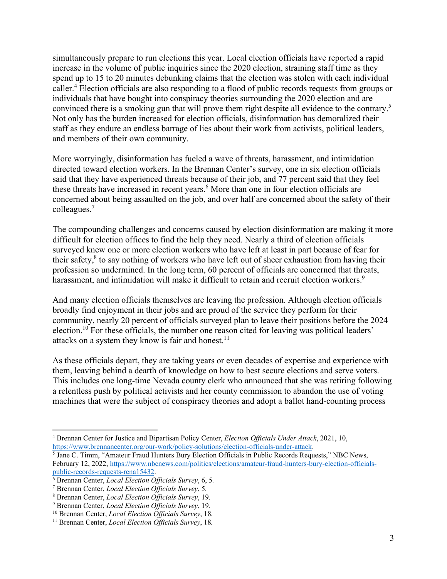simultaneously prepare to run elections this year. Local election officials have reported a rapid increase in the volume of public inquiries since the 2020 election, straining staff time as they spend up to 15 to 20 minutes debunking claims that the election was stolen with each individual caller.<sup>4</sup> Election officials are also responding to a flood of public records requests from groups or individuals that have bought into conspiracy theories surrounding the 2020 election and are convinced there is a smoking gun that will prove them right despite all evidence to the contrary.<sup>5</sup> Not only has the burden increased for election officials, disinformation has demoralized their staff as they endure an endless barrage of lies about their work from activists, political leaders, and members of their own community.

More worryingly, disinformation has fueled a wave of threats, harassment, and intimidation directed toward election workers. In the Brennan Center's survey, one in six election officials said that they have experienced threats because of their job, and 77 percent said that they feel these threats have increased in recent years.<sup>6</sup> More than one in four election officials are concerned about being assaulted on the job, and over half are concerned about the safety of their colleagues.7

The compounding challenges and concerns caused by election disinformation are making it more difficult for election offices to find the help they need. Nearly a third of election officials surveyed knew one or more election workers who have left at least in part because of fear for their safety,<sup>8</sup> to say nothing of workers who have left out of sheer exhaustion from having their profession so undermined. In the long term, 60 percent of officials are concerned that threats, harassment, and intimidation will make it difficult to retain and recruit election workers.<sup>9</sup>

And many election officials themselves are leaving the profession. Although election officials broadly find enjoyment in their jobs and are proud of the service they perform for their community, nearly 20 percent of officials surveyed plan to leave their positions before the 2024 election.<sup>10</sup> For these officials, the number one reason cited for leaving was political leaders' attacks on a system they know is fair and honest.<sup>11</sup>

As these officials depart, they are taking years or even decades of expertise and experience with them, leaving behind a dearth of knowledge on how to best secure elections and serve voters. This includes one long-time Nevada county clerk who announced that she was retiring following a relentless push by political activists and her county commission to abandon the use of voting machines that were the subject of conspiracy theories and adopt a ballot hand-counting process

<sup>4</sup> Brennan Center for Justice and Bipartisan Policy Center, *Election Officials Under Attack*, 2021, 10, https://www.brennancenter.org/our-work/policy-solutions/election-officials-under-attack. 5

<sup>&</sup>lt;sup>5</sup> Jane C. Timm, "Amateur Fraud Hunters Bury Election Officials in Public Records Requests," NBC News, February 12, 2022, https://www.nbcnews.com/politics/elections/amateur-fraud-hunters-bury-election-officialspublic-records-requests-rcna15432.

Brennan Center, *Local Election Officials Survey*, 6, 5*.*

<sup>7</sup> Brennan Center, *Local Election Officials Survey*, 5*.*

<sup>8</sup> Brennan Center, *Local Election Officials Survey*, 19*.*

<sup>9</sup> Brennan Center, *Local Election Officials Survey*, 19*.*

<sup>10</sup> Brennan Center, *Local Election Officials Survey*, 18*.*

<sup>11</sup> Brennan Center, *Local Election Officials Survey*, 18*.*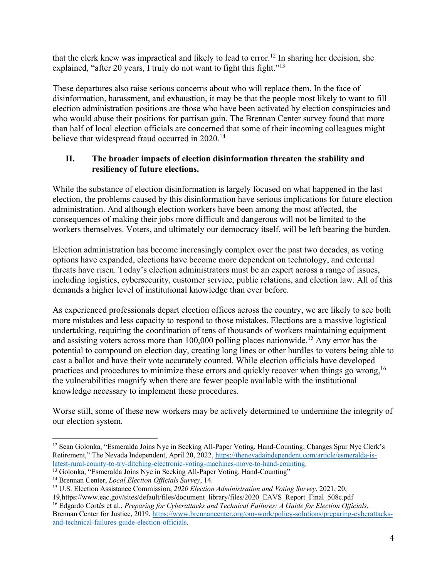that the clerk knew was impractical and likely to lead to error.<sup>12</sup> In sharing her decision, she explained, "after 20 years, I truly do not want to fight this fight."<sup>13</sup>

These departures also raise serious concerns about who will replace them. In the face of disinformation, harassment, and exhaustion, it may be that the people most likely to want to fill election administration positions are those who have been activated by election conspiracies and who would abuse their positions for partisan gain. The Brennan Center survey found that more than half of local election officials are concerned that some of their incoming colleagues might believe that widespread fraud occurred in 2020.<sup>14</sup>

#### **II. The broader impacts of election disinformation threaten the stability and resiliency of future elections.**

While the substance of election disinformation is largely focused on what happened in the last election, the problems caused by this disinformation have serious implications for future election administration. And although election workers have been among the most affected, the consequences of making their jobs more difficult and dangerous will not be limited to the workers themselves. Voters, and ultimately our democracy itself, will be left bearing the burden.

Election administration has become increasingly complex over the past two decades, as voting options have expanded, elections have become more dependent on technology, and external threats have risen. Today's election administrators must be an expert across a range of issues, including logistics, cybersecurity, customer service, public relations, and election law. All of this demands a higher level of institutional knowledge than ever before.

As experienced professionals depart election offices across the country, we are likely to see both more mistakes and less capacity to respond to those mistakes. Elections are a massive logistical undertaking, requiring the coordination of tens of thousands of workers maintaining equipment and assisting voters across more than  $100,000$  polling places nationwide.<sup>15</sup> Any error has the potential to compound on election day, creating long lines or other hurdles to voters being able to cast a ballot and have their vote accurately counted. While election officials have developed practices and procedures to minimize these errors and quickly recover when things go wrong,<sup>16</sup> the vulnerabilities magnify when there are fewer people available with the institutional knowledge necessary to implement these procedures.

Worse still, some of these new workers may be actively determined to undermine the integrity of our election system.

<sup>&</sup>lt;sup>12</sup> Sean Golonka, "Esmeralda Joins Nye in Seeking All-Paper Voting, Hand-Counting; Changes Spur Nye Clerk's Retirement," The Nevada Independent, April 20, 2022, https://thenevadaindependent.com/article/esmeralda-is-<br>latest-rural-county-to-try-ditching-electronic-voting-machines-move-to-hand-counting.

<sup>&</sup>lt;sup>13</sup> Golonka, "Esmeralda Joins Nye in Seeking All-Paper Voting, Hand-Counting" <sup>14</sup> Brennan Center, *Local Election Officials Survey*, 14.

<sup>&</sup>lt;sup>15</sup> U.S. Election Assistance Commission, 2020 Election Administration and Voting Survey, 2021, 20,

<sup>19,</sup>https://www.eac.gov/sites/default/files/document\_library/files/2020\_EAVS\_Report\_Final\_508c.pdf 16 Edgardo Cortés et al., *Preparing for Cyberattacks and Technical Failures: A Guide for Election Officials*, Brennan Center for Justice, 2019, https://www.brennancenter.org/our-work/policy-solutions/preparing-cyberattacksand-technical-failures-guide-election-officials.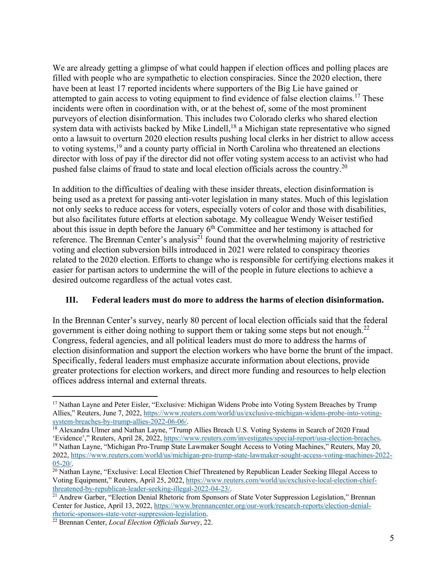We are already getting a glimpse of what could happen if election offices and polling places are filled with people who are sympathetic to election conspiracies. Since the 2020 election, there have been at least 17 reported incidents where supporters of the Big Lie have gained or attempted to gain access to voting equipment to find evidence of false election claims.<sup>17</sup> These incidents were often in coordination with, or at the behest of, some of the most prominent purveyors of election disinformation. This includes two Colorado clerks who shared election system data with activists backed by Mike Lindell,<sup>18</sup> a Michigan state representative who signed onto a lawsuit to overturn 2020 election results pushing local clerks in her district to allow access to voting systems,<sup>19</sup> and a county party official in North Carolina who threatened an elections director with loss of pay if the director did not offer voting system access to an activist who had pushed false claims of fraud to state and local election officials across the country.<sup>20</sup>

In addition to the difficulties of dealing with these insider threats, election disinformation is being used as a pretext for passing anti-voter legislation in many states. Much of this legislation not only seeks to reduce access for voters, especially voters of color and those with disabilities, but also facilitates future efforts at election sabotage. My colleague Wendy Weiser testified about this issue in depth before the January  $6<sup>th</sup>$  Committee and her testimony is attached for reference. The Brennan Center's analysis<sup>21</sup> found that the overwhelming majority of restrictive voting and election subversion bills introduced in 2021 were related to conspiracy theories related to the 2020 election. Efforts to change who is responsible for certifying elections makes it easier for partisan actors to undermine the will of the people in future elections to achieve a desired outcome regardless of the actual votes cast.

#### **III. Federal leaders must do more to address the harms of election disinformation.**

In the Brennan Center's survey, nearly 80 percent of local election officials said that the federal government is either doing nothing to support them or taking some steps but not enough.<sup>22</sup> Congress, federal agencies, and all political leaders must do more to address the harms of election disinformation and support the election workers who have borne the brunt of the impact. Specifically, federal leaders must emphasize accurate information about elections, provide greater protections for election workers, and direct more funding and resources to help election offices address internal and external threats.

<sup>&</sup>lt;sup>17</sup> Nathan Layne and Peter Eisler, "Exclusive: Michigan Widens Probe into Voting System Breaches by Trump Allies," Reuters, June 7, 2022, https://www.reuters.com/world/us/exclusive-michigan-widens-probe-into-voting-<br>system-breaches-by-trump-allies-2022-06-06/.

 $\frac{18}{18}$  Alexandra Ulmer and Nathan Layne, "Trump Allies Breach U.S. Voting Systems in Search of 2020 Fraud<br>'Evidence'," Reuters, April 28, 2022, https://www.reuters.com/investigates/special-report/usa-election-breache <sup>19</sup> Nathan Layne, "Michigan Pro-Trump State Lawmaker Sought Access to Voting Machines," Reuters, May 20, 2022, https://www.reuters.com/world/us/michigan-pro-trump-state-lawmaker-sought-access-voting-machines-2022-

<sup>&</sup>lt;sup>20</sup> Nathan Layne, "Exclusive: Local Election Chief Threatened by Republican Leader Seeking Illegal Access to Voting Equipment," Reuters, April 25, 2022, https://www.reuters.com/world/us/exclusive-local-election-chiefthreatened-by-republican-leader-seeking-illegal-2022-04-23/.<br><sup>21</sup> Andrew Garber, "Election Denial Rhetoric from Sponsors of State Voter Suppression Legislation," Brennan

Center for Justice, April 13, 2022, https://www.brennancenter.org/our-work/research-reports/election-denial-

rhetoric-sponsors-state-voter-suppression-legislation. 22 Brennan Center, *Local Election Officials Survey*, 22.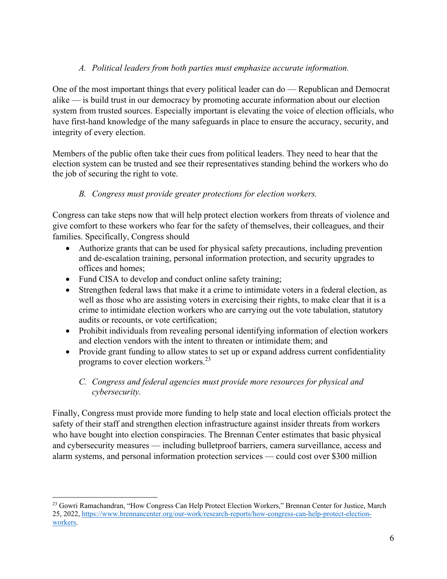## *A. Political leaders from both parties must emphasize accurate information.*

One of the most important things that every political leader can do — Republican and Democrat alike — is build trust in our democracy by promoting accurate information about our election system from trusted sources. Especially important is elevating the voice of election officials, who have first-hand knowledge of the many safeguards in place to ensure the accuracy, security, and integrity of every election.

Members of the public often take their cues from political leaders. They need to hear that the election system can be trusted and see their representatives standing behind the workers who do the job of securing the right to vote.

#### *B. Congress must provide greater protections for election workers.*

Congress can take steps now that will help protect election workers from threats of violence and give comfort to these workers who fear for the safety of themselves, their colleagues, and their families. Specifically, Congress should

- Authorize grants that can be used for physical safety precautions, including prevention and de-escalation training, personal information protection, and security upgrades to offices and homes;
- Fund CISA to develop and conduct online safety training;
- Strengthen federal laws that make it a crime to intimidate voters in a federal election, as well as those who are assisting voters in exercising their rights, to make clear that it is a crime to intimidate election workers who are carrying out the vote tabulation, statutory audits or recounts, or vote certification;
- Prohibit individuals from revealing personal identifying information of election workers and election vendors with the intent to threaten or intimidate them; and
- Provide grant funding to allow states to set up or expand address current confidentiality programs to cover election workers.<sup>23</sup>

## *C. Congress and federal agencies must provide more resources for physical and cybersecurity.*

Finally, Congress must provide more funding to help state and local election officials protect the safety of their staff and strengthen election infrastructure against insider threats from workers who have bought into election conspiracies. The Brennan Center estimates that basic physical and cybersecurity measures — including bulletproof barriers, camera surveillance, access and alarm systems, and personal information protection services — could cost over \$300 million

<sup>&</sup>lt;sup>23</sup> Gowri Ramachandran, "How Congress Can Help Protect Election Workers," Brennan Center for Justice, March 25, 2022, https://www.brennancenter.org/our-work/research-reports/how-congress-can-help-protect-electionworkers.